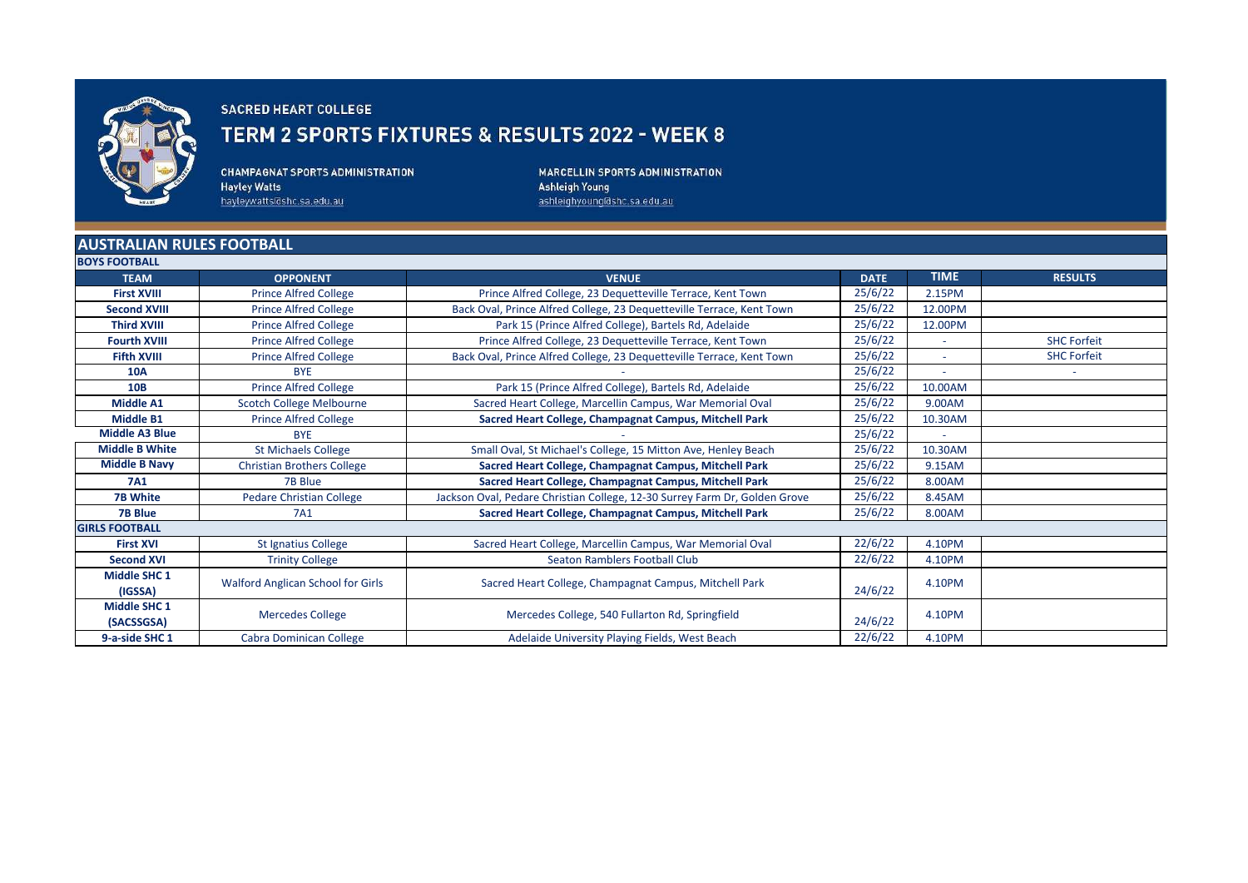

## **SACRED HEART COLLEGE**

## TERM 2 SPORTS FIXTURES & RESULTS 2022 - WEEK 8

**CHAMPAGNAT SPORTS ADMINISTRATION Hayley Watts** hayleywatts@shc.sa.edu.au

MARCELLIN SPORTS ADMINISTRATION Ashleigh Young ashleighyoung@shc.sa.edu.au

## **AUSTRALIAN RULES FOOTBALL**

| <b>BOYS FOOTBALL</b>              |                                   |                                                                            |             |             |                    |
|-----------------------------------|-----------------------------------|----------------------------------------------------------------------------|-------------|-------------|--------------------|
| <b>TEAM</b>                       | <b>OPPONENT</b>                   | <b>VENUE</b>                                                               | <b>DATE</b> | <b>TIME</b> | <b>RESULTS</b>     |
| <b>First XVIII</b>                | <b>Prince Alfred College</b>      | Prince Alfred College, 23 Dequetteville Terrace, Kent Town                 | 25/6/22     | 2.15PM      |                    |
| <b>Second XVIII</b>               | <b>Prince Alfred College</b>      | Back Oval, Prince Alfred College, 23 Dequetteville Terrace, Kent Town      | 25/6/22     | 12.00PM     |                    |
| <b>Third XVIII</b>                | <b>Prince Alfred College</b>      | Park 15 (Prince Alfred College), Bartels Rd, Adelaide                      | 25/6/22     | 12.00PM     |                    |
| <b>Fourth XVIII</b>               | <b>Prince Alfred College</b>      | Prince Alfred College, 23 Dequetteville Terrace, Kent Town                 | 25/6/22     |             | <b>SHC Forfeit</b> |
| <b>Fifth XVIII</b>                | <b>Prince Alfred College</b>      | Back Oval, Prince Alfred College, 23 Dequetteville Terrace, Kent Town      | 25/6/22     |             | <b>SHC Forfeit</b> |
| <b>10A</b>                        | <b>BYE</b>                        |                                                                            | 25/6/22     |             | $\sim$             |
| <b>10B</b>                        | <b>Prince Alfred College</b>      | Park 15 (Prince Alfred College), Bartels Rd, Adelaide                      | 25/6/22     | 10.00AM     |                    |
| <b>Middle A1</b>                  | <b>Scotch College Melbourne</b>   | Sacred Heart College, Marcellin Campus, War Memorial Oval                  | 25/6/22     | 9.00AM      |                    |
| <b>Middle B1</b>                  | <b>Prince Alfred College</b>      | Sacred Heart College, Champagnat Campus, Mitchell Park                     | 25/6/22     | 10.30AM     |                    |
| <b>Middle A3 Blue</b>             | <b>BYE</b>                        |                                                                            | 25/6/22     | $\sim$      |                    |
| <b>Middle B White</b>             | <b>St Michaels College</b>        | Small Oval, St Michael's College, 15 Mitton Ave, Henley Beach              | 25/6/22     | 10.30AM     |                    |
| <b>Middle B Navy</b>              | <b>Christian Brothers College</b> | Sacred Heart College, Champagnat Campus, Mitchell Park                     | 25/6/22     | 9.15AM      |                    |
| <b>7A1</b>                        | 7B Blue                           | Sacred Heart College, Champagnat Campus, Mitchell Park                     | 25/6/22     | 8.00AM      |                    |
| <b>7B White</b>                   | <b>Pedare Christian College</b>   | Jackson Oval, Pedare Christian College, 12-30 Surrey Farm Dr, Golden Grove | 25/6/22     | 8.45AM      |                    |
| <b>7B Blue</b>                    | 7A1                               | Sacred Heart College, Champagnat Campus, Mitchell Park                     | 25/6/22     | 8.00AM      |                    |
| <b>GIRLS FOOTBALL</b>             |                                   |                                                                            |             |             |                    |
| <b>First XVI</b>                  | St Ignatius College               | Sacred Heart College, Marcellin Campus, War Memorial Oval                  | 22/6/22     | 4.10PM      |                    |
| <b>Second XVI</b>                 | <b>Trinity College</b>            | Seaton Ramblers Football Club                                              | 22/6/22     | 4.10PM      |                    |
| <b>Middle SHC 1</b><br>(IGSSA)    | Walford Anglican School for Girls | Sacred Heart College, Champagnat Campus, Mitchell Park                     | 24/6/22     | 4.10PM      |                    |
| <b>Middle SHC 1</b><br>(SACSSGSA) | <b>Mercedes College</b>           | Mercedes College, 540 Fullarton Rd, Springfield                            | 24/6/22     | 4.10PM      |                    |
| 9-a-side SHC 1                    | Cabra Dominican College           | Adelaide University Playing Fields, West Beach                             | 22/6/22     | 4.10PM      |                    |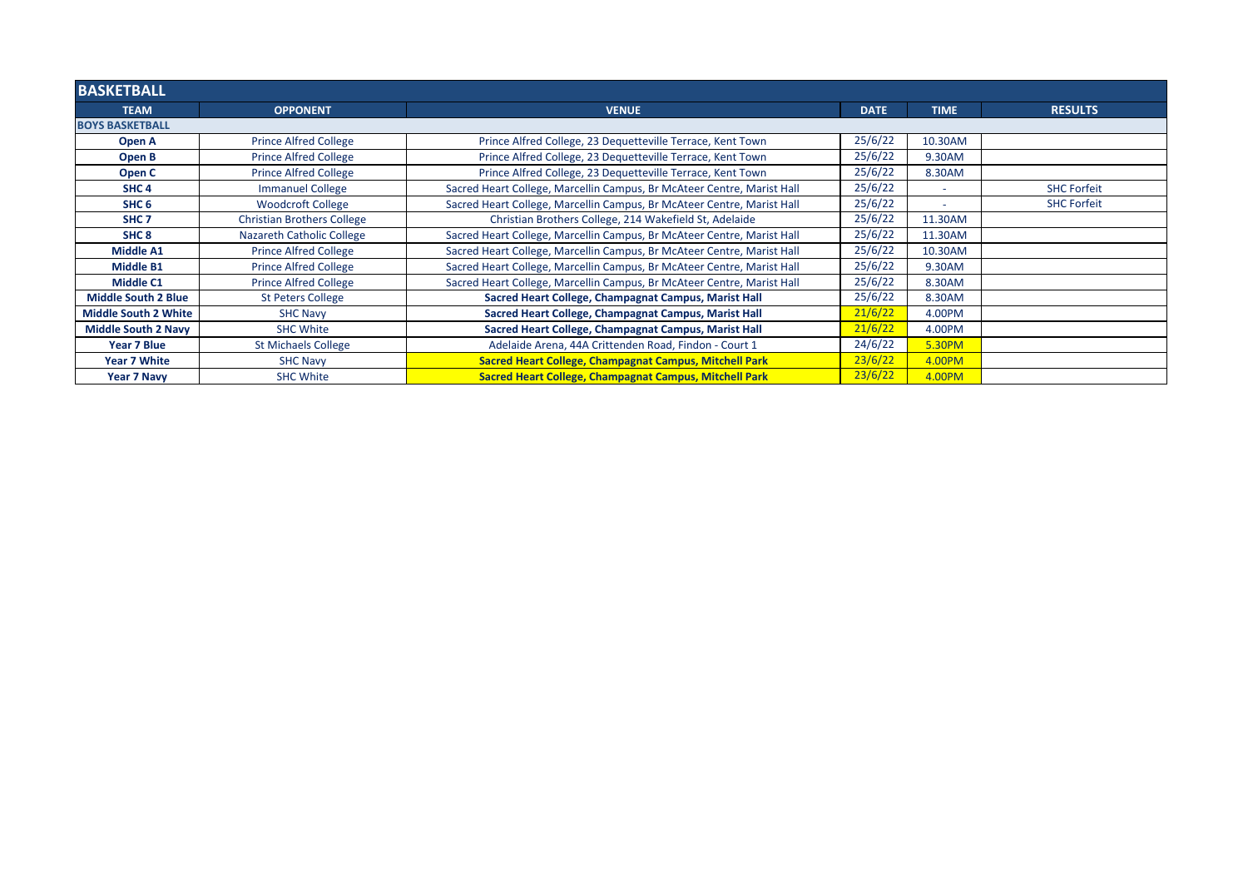| <b>BASKETBALL</b>           |                                   |                                                                        |             |             |                    |  |
|-----------------------------|-----------------------------------|------------------------------------------------------------------------|-------------|-------------|--------------------|--|
| <b>TEAM</b>                 | <b>OPPONENT</b>                   | <b>VENUE</b>                                                           | <b>DATE</b> | <b>TIME</b> | <b>RESULTS</b>     |  |
| <b>BOYS BASKETBALL</b>      |                                   |                                                                        |             |             |                    |  |
| Open A                      | <b>Prince Alfred College</b>      | Prince Alfred College, 23 Dequetteville Terrace, Kent Town             | 25/6/22     | 10.30AM     |                    |  |
| Open B                      | <b>Prince Alfred College</b>      | Prince Alfred College, 23 Dequetteville Terrace, Kent Town             | 25/6/22     | 9.30AM      |                    |  |
| Open C                      | <b>Prince Alfred College</b>      | Prince Alfred College, 23 Dequetteville Terrace, Kent Town             | 25/6/22     | 8.30AM      |                    |  |
| SHC <sub>4</sub>            | <b>Immanuel College</b>           | Sacred Heart College, Marcellin Campus, Br McAteer Centre, Marist Hall | 25/6/22     | $\sim$      | <b>SHC Forfeit</b> |  |
| SHC <sub>6</sub>            | <b>Woodcroft College</b>          | Sacred Heart College, Marcellin Campus, Br McAteer Centre, Marist Hall | 25/6/22     | $\sim$      | <b>SHC Forfeit</b> |  |
| SHC <sub>7</sub>            | <b>Christian Brothers College</b> | Christian Brothers College, 214 Wakefield St, Adelaide                 | 25/6/22     | 11.30AM     |                    |  |
| SHC <sub>8</sub>            | Nazareth Catholic College         | Sacred Heart College, Marcellin Campus, Br McAteer Centre, Marist Hall | 25/6/22     | 11.30AM     |                    |  |
| <b>Middle A1</b>            | <b>Prince Alfred College</b>      | Sacred Heart College, Marcellin Campus, Br McAteer Centre, Marist Hall | 25/6/22     | 10.30AM     |                    |  |
| <b>Middle B1</b>            | <b>Prince Alfred College</b>      | Sacred Heart College, Marcellin Campus, Br McAteer Centre, Marist Hall | 25/6/22     | 9.30AM      |                    |  |
| <b>Middle C1</b>            | <b>Prince Alfred College</b>      | Sacred Heart College, Marcellin Campus, Br McAteer Centre, Marist Hall | 25/6/22     | 8.30AM      |                    |  |
| <b>Middle South 2 Blue</b>  | <b>St Peters College</b>          | Sacred Heart College, Champagnat Campus, Marist Hall                   | 25/6/22     | 8.30AM      |                    |  |
| <b>Middle South 2 White</b> | <b>SHC Navy</b>                   | Sacred Heart College, Champagnat Campus, Marist Hall                   | 21/6/22     | 4.00PM      |                    |  |
| <b>Middle South 2 Navy</b>  | <b>SHC White</b>                  | Sacred Heart College, Champagnat Campus, Marist Hall                   | 21/6/22     | 4.00PM      |                    |  |
| Year 7 Blue                 | <b>St Michaels College</b>        | Adelaide Arena, 44A Crittenden Road, Findon - Court 1                  | 24/6/22     | 5.30PM      |                    |  |
| <b>Year 7 White</b>         | <b>SHC Navy</b>                   | Sacred Heart College, Champagnat Campus, Mitchell Park                 | 23/6/22     | 4.00PM      |                    |  |
| Year 7 Navy                 | <b>SHC White</b>                  | Sacred Heart College, Champagnat Campus, Mitchell Park                 | 23/6/22     | 4.00PM      |                    |  |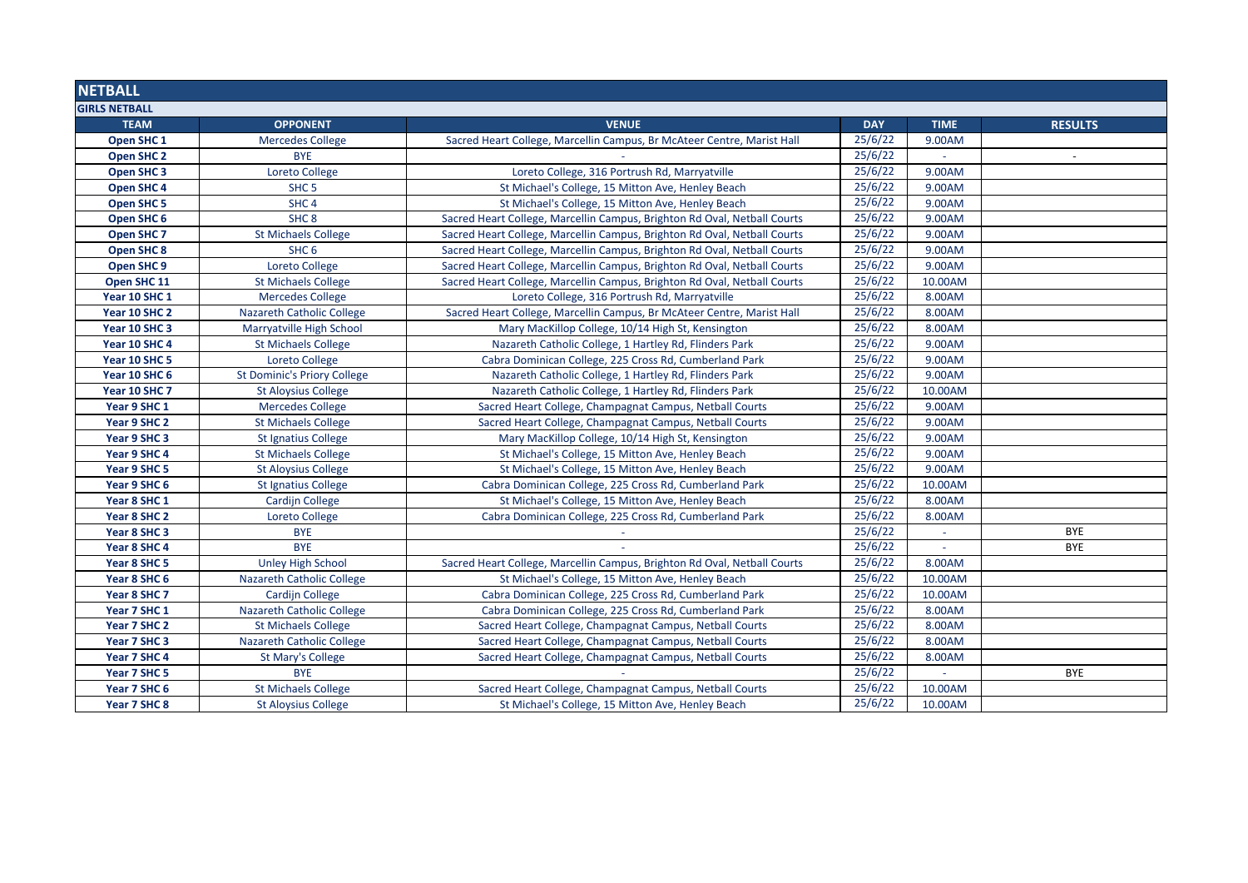| <b>NETBALL</b>        |                                    |                                                                          |            |             |                          |
|-----------------------|------------------------------------|--------------------------------------------------------------------------|------------|-------------|--------------------------|
| <b>GIRLS NETBALL</b>  |                                    |                                                                          |            |             |                          |
| <b>TEAM</b>           | <b>OPPONENT</b>                    | <b>VENUE</b>                                                             | <b>DAY</b> | <b>TIME</b> | <b>RESULTS</b>           |
| Open SHC <sub>1</sub> | <b>Mercedes College</b>            | Sacred Heart College, Marcellin Campus, Br McAteer Centre, Marist Hall   | 25/6/22    | 9.00AM      |                          |
| Open SHC 2            | <b>BYE</b>                         |                                                                          | 25/6/22    |             | $\overline{\phantom{a}}$ |
| Open SHC <sub>3</sub> | <b>Loreto College</b>              | Loreto College, 316 Portrush Rd, Marryatville                            | 25/6/22    | 9.00AM      |                          |
| Open SHC 4            | SHC <sub>5</sub>                   | St Michael's College, 15 Mitton Ave, Henley Beach                        | 25/6/22    | 9.00AM      |                          |
| <b>Open SHC 5</b>     | SHC <sub>4</sub>                   | St Michael's College, 15 Mitton Ave, Henley Beach                        | 25/6/22    | 9.00AM      |                          |
| Open SHC 6            | SHC <sub>8</sub>                   | Sacred Heart College, Marcellin Campus, Brighton Rd Oval, Netball Courts | 25/6/22    | 9.00AM      |                          |
| Open SHC <sub>7</sub> | <b>St Michaels College</b>         | Sacred Heart College, Marcellin Campus, Brighton Rd Oval, Netball Courts | 25/6/22    | 9.00AM      |                          |
| <b>Open SHC 8</b>     | SHC <sub>6</sub>                   | Sacred Heart College, Marcellin Campus, Brighton Rd Oval, Netball Courts | 25/6/22    | 9.00AM      |                          |
| Open SHC 9            | Loreto College                     | Sacred Heart College, Marcellin Campus, Brighton Rd Oval, Netball Courts | 25/6/22    | 9.00AM      |                          |
| Open SHC 11           | <b>St Michaels College</b>         | Sacred Heart College, Marcellin Campus, Brighton Rd Oval, Netball Courts | 25/6/22    | 10.00AM     |                          |
| Year 10 SHC 1         | <b>Mercedes College</b>            | Loreto College, 316 Portrush Rd, Marryatville                            | 25/6/22    | 8.00AM      |                          |
| Year 10 SHC 2         | <b>Nazareth Catholic College</b>   | Sacred Heart College, Marcellin Campus, Br McAteer Centre, Marist Hall   | 25/6/22    | 8.00AM      |                          |
| Year 10 SHC 3         | Marryatville High School           | Mary MacKillop College, 10/14 High St, Kensington                        | 25/6/22    | 8.00AM      |                          |
| Year 10 SHC 4         | <b>St Michaels College</b>         | Nazareth Catholic College, 1 Hartley Rd, Flinders Park                   | 25/6/22    | 9.00AM      |                          |
| Year 10 SHC 5         | Loreto College                     | Cabra Dominican College, 225 Cross Rd, Cumberland Park                   | 25/6/22    | 9.00AM      |                          |
| Year 10 SHC 6         | <b>St Dominic's Priory College</b> | Nazareth Catholic College, 1 Hartley Rd, Flinders Park                   | 25/6/22    | 9.00AM      |                          |
| Year 10 SHC 7         | <b>St Aloysius College</b>         | Nazareth Catholic College, 1 Hartley Rd, Flinders Park                   | 25/6/22    | 10.00AM     |                          |
| Year 9 SHC 1          | <b>Mercedes College</b>            | Sacred Heart College, Champagnat Campus, Netball Courts                  | 25/6/22    | 9.00AM      |                          |
| Year 9 SHC 2          | <b>St Michaels College</b>         | Sacred Heart College, Champagnat Campus, Netball Courts                  | 25/6/22    | 9.00AM      |                          |
| Year 9 SHC 3          | <b>St Ignatius College</b>         | Mary MacKillop College, 10/14 High St, Kensington                        | 25/6/22    | 9.00AM      |                          |
| Year 9 SHC 4          | <b>St Michaels College</b>         | St Michael's College, 15 Mitton Ave, Henley Beach                        | 25/6/22    | 9.00AM      |                          |
| Year 9 SHC 5          | <b>St Aloysius College</b>         | St Michael's College, 15 Mitton Ave, Henley Beach                        | 25/6/22    | 9.00AM      |                          |
| Year 9 SHC 6          | <b>St Ignatius College</b>         | Cabra Dominican College, 225 Cross Rd, Cumberland Park                   | 25/6/22    | 10.00AM     |                          |
| Year 8 SHC 1          | <b>Cardijn College</b>             | St Michael's College, 15 Mitton Ave, Henley Beach                        | 25/6/22    | 8.00AM      |                          |
| Year 8 SHC 2          | Loreto College                     | Cabra Dominican College, 225 Cross Rd, Cumberland Park                   | 25/6/22    | 8.00AM      |                          |
| Year 8 SHC 3          | <b>BYE</b>                         |                                                                          | 25/6/22    |             | BYE                      |
| Year 8 SHC 4          | <b>BYE</b>                         |                                                                          | 25/6/22    |             | <b>BYE</b>               |
| Year 8 SHC 5          | <b>Unley High School</b>           | Sacred Heart College, Marcellin Campus, Brighton Rd Oval, Netball Courts | 25/6/22    | 8.00AM      |                          |
| Year 8 SHC 6          | <b>Nazareth Catholic College</b>   | St Michael's College, 15 Mitton Ave, Henley Beach                        | 25/6/22    | 10.00AM     |                          |
| Year 8 SHC 7          | <b>Cardijn College</b>             | Cabra Dominican College, 225 Cross Rd, Cumberland Park                   | 25/6/22    | 10.00AM     |                          |
| Year 7 SHC 1          | <b>Nazareth Catholic College</b>   | Cabra Dominican College, 225 Cross Rd, Cumberland Park                   | 25/6/22    | 8.00AM      |                          |
| Year 7 SHC 2          | <b>St Michaels College</b>         | Sacred Heart College, Champagnat Campus, Netball Courts                  | 25/6/22    | 8.00AM      |                          |
| Year 7 SHC 3          | <b>Nazareth Catholic College</b>   | Sacred Heart College, Champagnat Campus, Netball Courts                  | 25/6/22    | 8.00AM      |                          |
| Year 7 SHC 4          | St Mary's College                  | Sacred Heart College, Champagnat Campus, Netball Courts                  | 25/6/22    | 8.00AM      |                          |
| Year 7 SHC 5          | <b>BYE</b>                         |                                                                          | 25/6/22    |             | <b>BYE</b>               |
| Year 7 SHC 6          | <b>St Michaels College</b>         | Sacred Heart College, Champagnat Campus, Netball Courts                  | 25/6/22    | 10.00AM     |                          |
| Year 7 SHC 8          | <b>St Aloysius College</b>         | St Michael's College, 15 Mitton Ave, Henley Beach                        | 25/6/22    | 10.00AM     |                          |